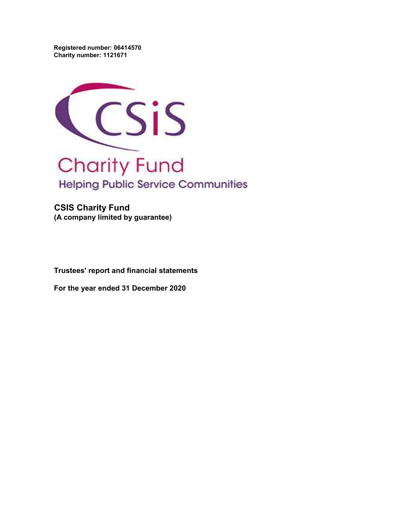Registered number: 06414570 Charity number: 1121671



CSIS Charity Fund (A company limited by guarantee)

Trustees' report and financial statements

For the year ended 31 December 2020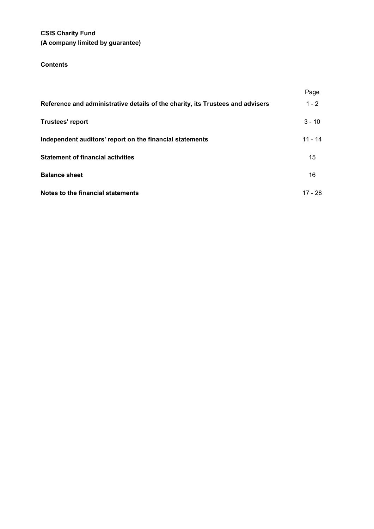# **Contents**

|                                                                                | Page      |
|--------------------------------------------------------------------------------|-----------|
| Reference and administrative details of the charity, its Trustees and advisers | $1 - 2$   |
| <b>Trustees' report</b>                                                        | $3 - 10$  |
| Independent auditors' report on the financial statements                       | $11 - 14$ |
| <b>Statement of financial activities</b>                                       | 15        |
| <b>Balance sheet</b>                                                           | 16        |
| Notes to the financial statements                                              | 17 - 28   |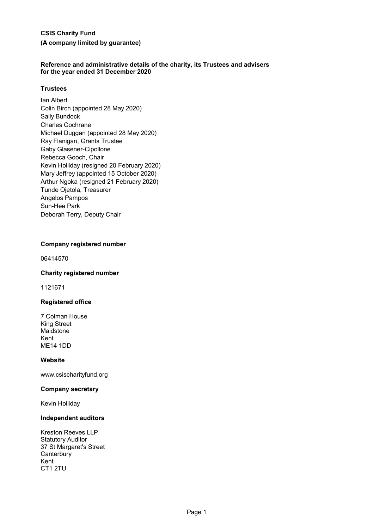Reference and administrative details of the charity, its Trustees and advisers for the year ended 31 December 2020

## **Trustees**

Ian Albert Colin Birch (appointed 28 May 2020) Sally Bundock Charles Cochrane Michael Duggan (appointed 28 May 2020) Ray Flanigan, Grants Trustee Gaby Glasener-Cipollone Rebecca Gooch, Chair Kevin Holliday (resigned 20 February 2020) Mary Jeffrey (appointed 15 October 2020) Arthur Ngoka (resigned 21 February 2020) Tunde Ojetola, Treasurer Angelos Pampos Sun-Hee Park Deborah Terry, Deputy Chair

## Company registered number

06414570

#### Charity registered number

1121671

## Registered office

7 Colman House King Street Maidstone Kent ME14 1DD

#### **Website**

www.csischarityfund.org

## Company secretary

Kevin Holliday

### Independent auditors

Kreston Reeves LLP Statutory Auditor 37 St Margaret's Street **Canterbury** Kent CT1 2TU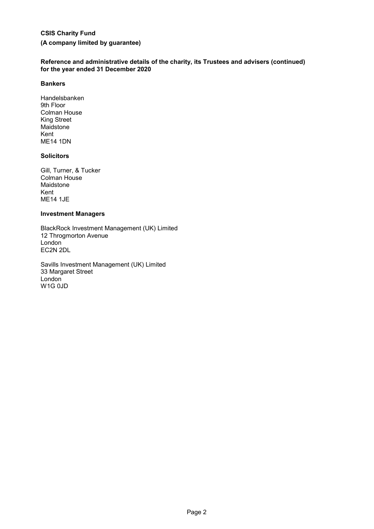Reference and administrative details of the charity, its Trustees and advisers (continued) for the year ended 31 December 2020

#### Bankers

Handelsbanken 9th Floor Colman House King Street Maidstone Kent ME14 1DN

# **Solicitors**

Gill, Turner, & Tucker Colman House Maidstone Kent ME14 1JE

### Investment Managers

BlackRock Investment Management (UK) Limited 12 Throgmorton Avenue London EC2N 2DL

Savills Investment Management (UK) Limited 33 Margaret Street **London** W1G 0JD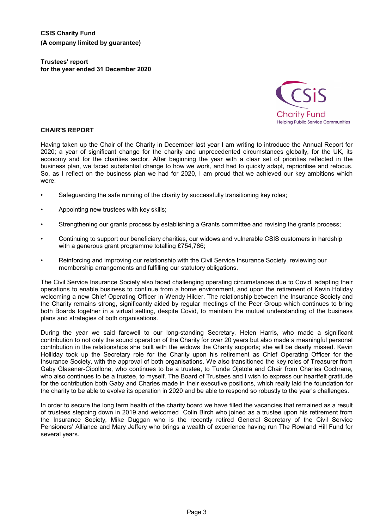Trustees' report for the year ended 31 December 2020



## CHAIR'S REPORT

Having taken up the Chair of the Charity in December last year I am writing to introduce the Annual Report for 2020; a year of significant change for the charity and unprecedented circumstances globally, for the UK, its economy and for the charities sector. After beginning the year with a clear set of priorities reflected in the business plan, we faced substantial change to how we work, and had to quickly adapt, reprioritise and refocus. So, as I reflect on the business plan we had for 2020, I am proud that we achieved our key ambitions which were:

- Safeguarding the safe running of the charity by successfully transitioning key roles;
- Appointing new trustees with key skills;
- Strengthening our grants process by establishing a Grants committee and revising the grants process;
- Continuing to support our beneficiary charities, our widows and vulnerable CSIS customers in hardship with a generous grant programme totalling £754,786;
- Reinforcing and improving our relationship with the Civil Service Insurance Society, reviewing our membership arrangements and fulfilling our statutory obligations.

The Civil Service Insurance Society also faced challenging operating circumstances due to Covid, adapting their operations to enable business to continue from a home environment, and upon the retirement of Kevin Holiday welcoming a new Chief Operating Officer in Wendy Hilder. The relationship between the Insurance Society and the Charity remains strong, significantly aided by regular meetings of the Peer Group which continues to bring both Boards together in a virtual setting, despite Covid, to maintain the mutual understanding of the business plans and strategies of both organisations.

During the year we said farewell to our long-standing Secretary, Helen Harris, who made a significant contribution to not only the sound operation of the Charity for over 20 years but also made a meaningful personal contribution in the relationships she built with the widows the Charity supports; she will be dearly missed. Kevin Holliday took up the Secretary role for the Charity upon his retirement as Chief Operating Officer for the Insurance Society, with the approval of both organisations. We also transitioned the key roles of Treasurer from Gaby Glasener-Cipollone, who continues to be a trustee, to Tunde Ojetola and Chair from Charles Cochrane, who also continues to be a trustee, to myself. The Board of Trustees and I wish to express our heartfelt gratitude for the contribution both Gaby and Charles made in their executive positions, which really laid the foundation for the charity to be able to evolve its operation in 2020 and be able to respond so robustly to the year's challenges.

In order to secure the long term health of the charity board we have filled the vacancies that remained as a result of trustees stepping down in 2019 and welcomed Colin Birch who joined as a trustee upon his retirement from the Insurance Society, Mike Duggan who is the recently retired General Secretary of the Civil Service Pensioners' Alliance and Mary Jeffery who brings a wealth of experience having run The Rowland Hill Fund for several years.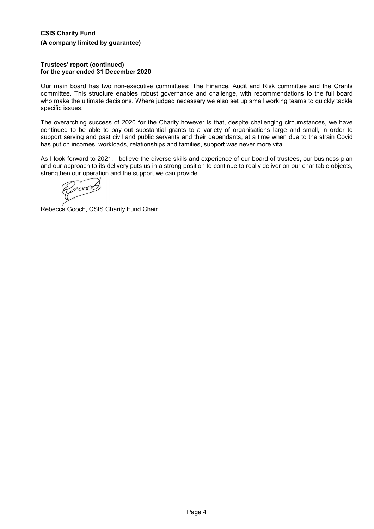# Trustees' report (continued) for the year ended 31 December 2020

Our main board has two non-executive committees: The Finance, Audit and Risk committee and the Grants committee. This structure enables robust governance and challenge, with recommendations to the full board who make the ultimate decisions. Where judged necessary we also set up small working teams to quickly tackle specific issues.

The overarching success of 2020 for the Charity however is that, despite challenging circumstances, we have continued to be able to pay out substantial grants to a variety of organisations large and small, in order to support serving and past civil and public servants and their dependants, at a time when due to the strain Covid has put on incomes, workloads, relationships and families, support was never more vital.

As I look forward to 2021, I believe the diverse skills and experience of our board of trustees, our business plan and our approach to its delivery puts us in a strong position to continue to really deliver on our charitable objects, strengthen our operation and the support we can provide.

Rebecca Gooch, CSIS Charity Fund Chair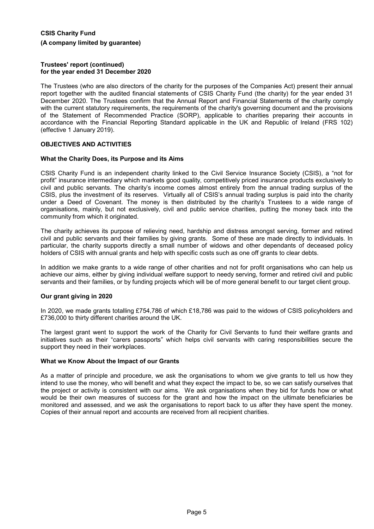#### Trustees' report (continued) for the year ended 31 December 2020

The Trustees (who are also directors of the charity for the purposes of the Companies Act) present their annual report together with the audited financial statements of CSIS Charity Fund (the charity) for the year ended 31 December 2020. The Trustees confirm that the Annual Report and Financial Statements of the charity comply with the current statutory requirements, the requirements of the charity's governing document and the provisions of the Statement of Recommended Practice (SORP), applicable to charities preparing their accounts in accordance with the Financial Reporting Standard applicable in the UK and Republic of Ireland (FRS 102) (effective 1 January 2019).

## OBJECTIVES AND ACTIVITIES

## What the Charity Does, its Purpose and its Aims

CSIS Charity Fund is an independent charity linked to the Civil Service Insurance Society (CSIS), a "not for profit" insurance intermediary which markets good quality, competitively priced insurance products exclusively to civil and public servants. The charity's income comes almost entirely from the annual trading surplus of the CSIS, plus the investment of its reserves. Virtually all of CSIS's annual trading surplus is paid into the charity under a Deed of Covenant. The money is then distributed by the charity's Trustees to a wide range of organisations, mainly, but not exclusively, civil and public service charities, putting the money back into the community from which it originated.

The charity achieves its purpose of relieving need, hardship and distress amongst serving, former and retired civil and public servants and their families by giving grants. Some of these are made directly to individuals. In particular, the charity supports directly a small number of widows and other dependants of deceased policy holders of CSIS with annual grants and help with specific costs such as one off grants to clear debts.

In addition we make grants to a wide range of other charities and not for profit organisations who can help us achieve our aims, either by giving individual welfare support to needy serving, former and retired civil and public servants and their families, or by funding projects which will be of more general benefit to our target client group.

## Our grant giving in 2020

In 2020, we made grants totalling £754,786 of which £18,786 was paid to the widows of CSIS policyholders and £736,000 to thirty different charities around the UK.

The largest grant went to support the work of the Charity for Civil Servants to fund their welfare grants and initiatives such as their "carers passports" which helps civil servants with caring responsibilities secure the support they need in their workplaces.

## What we Know About the Impact of our Grants

As a matter of principle and procedure, we ask the organisations to whom we give grants to tell us how they intend to use the money, who will benefit and what they expect the impact to be, so we can satisfy ourselves that the project or activity is consistent with our aims. We ask organisations when they bid for funds how or what would be their own measures of success for the grant and how the impact on the ultimate beneficiaries be monitored and assessed, and we ask the organisations to report back to us after they have spent the money. Copies of their annual report and accounts are received from all recipient charities.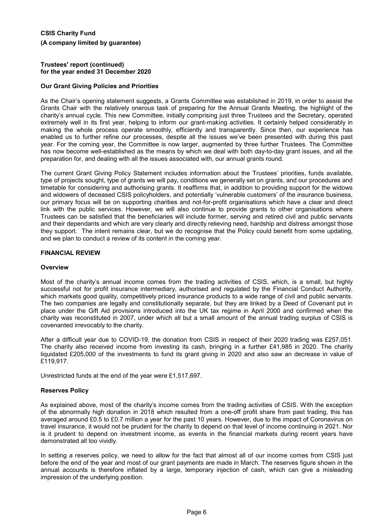## Our Grant Giving Policies and Priorities

As the Chair's opening statement suggests, a Grants Committee was established in 2019, in order to assist the Grants Chair with the relatively onerous task of preparing for the Annual Grants Meeting, the highlight of the charity's annual cycle. This new Committee, initially comprising just three Trustees and the Secretary, operated extremely well in its first year, helping to inform our grant-making activities. It certainly helped considerably in making the whole process operate smoothly, efficiently and transparently. Since then, our experience has enabled us to further refine our processes, despite all the issues we've been presented with during this past year. For the coming year, the Committee is now larger, augmented by three further Trustees. The Committee has now become well-established as the means by which we deal with both day-to-day grant issues, and all the preparation for, and dealing with all the issues associated with, our annual grants round.

The current Grant Giving Policy Statement includes information about the Trustees' priorities, funds available, type of projects sought, type of grants we will pay, conditions we generally set on grants, and our procedures and timetable for considering and authorising grants. It reaffirms that, in addition to providing support for the widows and widowers of deceased CSIS policyholders, and potentially 'vulnerable customers' of the insurance business, our primary focus will be on supporting charities and not-for-profit organisations which have a clear and direct link with the public services. However, we will also continue to provide grants to other organisations where Trustees can be satisfied that the beneficiaries will include former, serving and retired civil and public servants and their dependants and which are very clearly and directly relieving need, hardship and distress amongst those they support. The intent remains clear, but we do recognise that the Policy could benefit from some updating, and we plan to conduct a review of its content in the coming year.

### FINANCIAL REVIEW

#### **Overview**

Most of the charity's annual income comes from the trading activities of CSIS, which, is a small, but highly successful not for profit insurance intermediary, authorised and regulated by the Financial Conduct Authority, which markets good quality, competitively priced insurance products to a wide range of civil and public servants. The two companies are legally and constitutionally separate, but they are linked by a Deed of Covenant put in place under the Gift Aid provisions introduced into the UK tax regime in April 2000 and confirmed when the charity was reconstituted in 2007, under which all but a small amount of the annual trading surplus of CSIS is covenanted irrevocably to the charity.

After a difficult year due to COVID-19, the donation from CSIS in respect of their 2020 trading was £257,051. The charity also received income from investing its cash, bringing in a further £41,985 in 2020. The charity liquidated £205,000 of the investments to fund its grant giving in 2020 and also saw an decrease in value of £119,917.

Unrestricted funds at the end of the year were £1,517,697.

## Reserves Policy

As explained above, most of the charity's income comes from the trading activities of CSIS. With the exception of the abnormally high donation in 2018 which resulted from a one-off profit share from past trading, this has averaged around £0.5 to £0.7 million a year for the past 10 years. However, due to the impact of Coronavirus on travel insurance, it would not be prudent for the charity to depend on that level of income continuing in 2021. Nor is it prudent to depend on investment income, as events in the financial markets during recent years have demonstrated all too vividly.

In setting a reserves policy, we need to allow for the fact that almost all of our income comes from CSIS just before the end of the year and most of our grant payments are made in March. The reserves figure shown in the annual accounts is therefore inflated by a large, temporary injection of cash, which can give a misleading impression of the underlying position.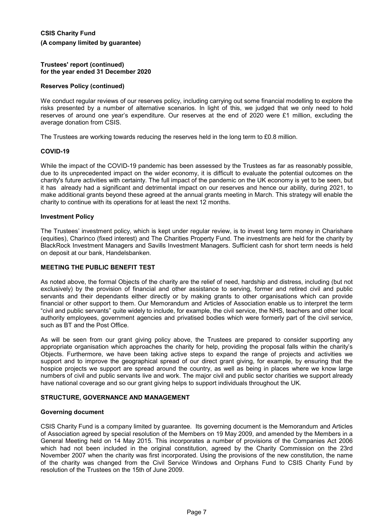### Reserves Policy (continued)

We conduct regular reviews of our reserves policy, including carrying out some financial modelling to explore the risks presented by a number of alternative scenarios. In light of this, we judged that we only need to hold reserves of around one year's expenditure. Our reserves at the end of 2020 were £1 million, excluding the average donation from CSIS.

The Trustees are working towards reducing the reserves held in the long term to £0.8 million.

### COVID-19

While the impact of the COVID-19 pandemic has been assessed by the Trustees as far as reasonably possible, due to its unprecedented impact on the wider economy, it is difficult to evaluate the potential outcomes on the charity's future activities with certainty. The full impact of the pandemic on the UK economy is yet to be seen, but it has already had a significant and detrimental impact on our reserves and hence our ability, during 2021, to make additional grants beyond these agreed at the annual grants meeting in March. This strategy will enable the charity to continue with its operations for at least the next 12 months.

### Investment Policy

The Trustees' investment policy, which is kept under regular review, is to invest long term money in Charishare (equities), Charinco (fixed interest) and The Charities Property Fund. The investments are held for the charity by BlackRock Investment Managers and Savills Investment Managers. Sufficient cash for short term needs is held on deposit at our bank, Handelsbanken.

#### MEETING THE PUBLIC BENEFIT TEST

As noted above, the formal Objects of the charity are the relief of need, hardship and distress, including (but not exclusively) by the provision of financial and other assistance to serving, former and retired civil and public servants and their dependants either directly or by making grants to other organisations which can provide financial or other support to them. Our Memorandum and Articles of Association enable us to interpret the term "civil and public servants" quite widely to include, for example, the civil service, the NHS, teachers and other local authority employees, government agencies and privatised bodies which were formerly part of the civil service, such as BT and the Post Office.

As will be seen from our grant giving policy above, the Trustees are prepared to consider supporting any appropriate organisation which approaches the charity for help, providing the proposal falls within the charity's Objects. Furthermore, we have been taking active steps to expand the range of projects and activities we support and to improve the geographical spread of our direct grant giving, for example, by ensuring that the hospice projects we support are spread around the country, as well as being in places where we know large numbers of civil and public servants live and work. The major civil and public sector charities we support already have national coverage and so our grant giving helps to support individuals throughout the UK.

#### STRUCTURE, GOVERNANCE AND MANAGEMENT

#### Governing document

CSIS Charity Fund is a company limited by guarantee. Its governing document is the Memorandum and Articles of Association agreed by special resolution of the Members on 19 May 2009, and amended by the Members in a General Meeting held on 14 May 2015. This incorporates a number of provisions of the Companies Act 2006 which had not been included in the original constitution, agreed by the Charity Commission on the 23rd November 2007 when the charity was first incorporated. Using the provisions of the new constitution, the name of the charity was changed from the Civil Service Windows and Orphans Fund to CSIS Charity Fund by resolution of the Trustees on the 15th of June 2009.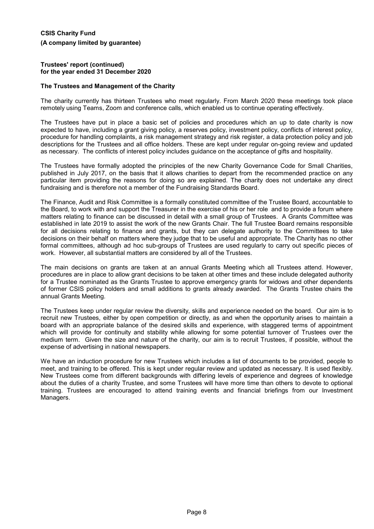## The Trustees and Management of the Charity

The charity currently has thirteen Trustees who meet regularly. From March 2020 these meetings took place remotely using Teams, Zoom and conference calls, which enabled us to continue operating effectively.

The Trustees have put in place a basic set of policies and procedures which an up to date charity is now expected to have, including a grant giving policy, a reserves policy, investment policy, conflicts of interest policy, procedure for handling complaints, a risk management strategy and risk register, a data protection policy and job descriptions for the Trustees and all office holders. These are kept under regular on-going review and updated as necessary. The conflicts of interest policy includes guidance on the acceptance of gifts and hospitality.

The Trustees have formally adopted the principles of the new Charity Governance Code for Small Charities, published in July 2017, on the basis that it allows charities to depart from the recommended practice on any particular item providing the reasons for doing so are explained. The charity does not undertake any direct fundraising and is therefore not a member of the Fundraising Standards Board.

The Finance, Audit and Risk Committee is a formally constituted committee of the Trustee Board, accountable to the Board, to work with and support the Treasurer in the exercise of his or her role and to provide a forum where matters relating to finance can be discussed in detail with a small group of Trustees. A Grants Committee was established in late 2019 to assist the work of the new Grants Chair. The full Trustee Board remains responsible for all decisions relating to finance and grants, but they can delegate authority to the Committees to take decisions on their behalf on matters where they judge that to be useful and appropriate. The Charity has no other formal committees, although ad hoc sub-groups of Trustees are used regularly to carry out specific pieces of work. However, all substantial matters are considered by all of the Trustees.

The main decisions on grants are taken at an annual Grants Meeting which all Trustees attend. However, procedures are in place to allow grant decisions to be taken at other times and these include delegated authority for a Trustee nominated as the Grants Trustee to approve emergency grants for widows and other dependents of former CSIS policy holders and small additions to grants already awarded. The Grants Trustee chairs the annual Grants Meeting.

The Trustees keep under regular review the diversity, skills and experience needed on the board. Our aim is to recruit new Trustees, either by open competition or directly, as and when the opportunity arises to maintain a board with an appropriate balance of the desired skills and experience, with staggered terms of appointment which will provide for continuity and stability while allowing for some potential turnover of Trustees over the medium term. Given the size and nature of the charity, our aim is to recruit Trustees, if possible, without the expense of advertising in national newspapers.

We have an induction procedure for new Trustees which includes a list of documents to be provided, people to meet, and training to be offered. This is kept under regular review and updated as necessary. It is used flexibly. New Trustees come from different backgrounds with differing levels of experience and degrees of knowledge about the duties of a charity Trustee, and some Trustees will have more time than others to devote to optional training. Trustees are encouraged to attend training events and financial briefings from our Investment Managers.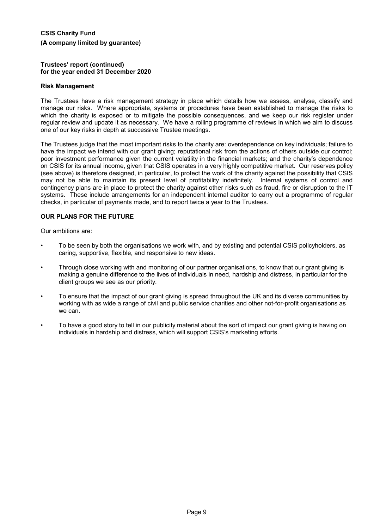### Risk Management

The Trustees have a risk management strategy in place which details how we assess, analyse, classify and manage our risks. Where appropriate, systems or procedures have been established to manage the risks to which the charity is exposed or to mitigate the possible consequences, and we keep our risk register under regular review and update it as necessary. We have a rolling programme of reviews in which we aim to discuss one of our key risks in depth at successive Trustee meetings.

The Trustees judge that the most important risks to the charity are: overdependence on key individuals; failure to have the impact we intend with our grant giving; reputational risk from the actions of others outside our control; poor investment performance given the current volatility in the financial markets; and the charity's dependence on CSIS for its annual income, given that CSIS operates in a very highly competitive market. Our reserves policy (see above) is therefore designed, in particular, to protect the work of the charity against the possibility that CSIS may not be able to maintain its present level of profitability indefinitely. Internal systems of control and contingency plans are in place to protect the charity against other risks such as fraud, fire or disruption to the IT systems. These include arrangements for an independent internal auditor to carry out a programme of regular checks, in particular of payments made, and to report twice a year to the Trustees.

# OUR PLANS FOR THE FUTURE

Our ambitions are:

- To be seen by both the organisations we work with, and by existing and potential CSIS policyholders, as caring, supportive, flexible, and responsive to new ideas.
- Through close working with and monitoring of our partner organisations, to know that our grant giving is making a genuine difference to the lives of individuals in need, hardship and distress, in particular for the client groups we see as our priority.
- To ensure that the impact of our grant giving is spread throughout the UK and its diverse communities by working with as wide a range of civil and public service charities and other not-for-profit organisations as we can.
- To have a good story to tell in our publicity material about the sort of impact our grant giving is having on individuals in hardship and distress, which will support CSIS's marketing efforts.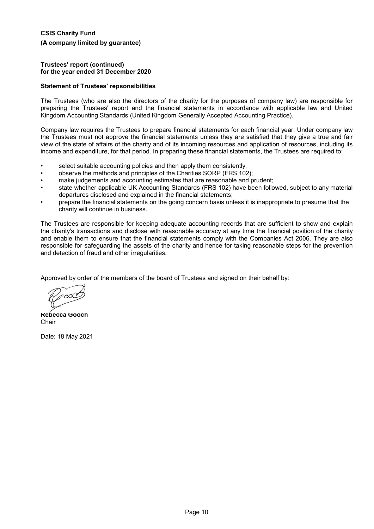## Trustees' report (continued) for the year ended 31 December 2020

## Statement of Trustees' repsonsibilities

The Trustees (who are also the directors of the charity for the purposes of company law) are responsible for preparing the Trustees' report and the financial statements in accordance with applicable law and United Kingdom Accounting Standards (United Kingdom Generally Accepted Accounting Practice).

Company law requires the Trustees to prepare financial statements for each financial year. Under company law the Trustees must not approve the financial statements unless they are satisfied that they give a true and fair view of the state of affairs of the charity and of its incoming resources and application of resources, including its income and expenditure, for that period. In preparing these financial statements, the Trustees are required to:

- select suitable accounting policies and then apply them consistently;
- observe the methods and principles of the Charities SORP (FRS 102);
- make judgements and accounting estimates that are reasonable and prudent;
- state whether applicable UK Accounting Standards (FRS 102) have been followed, subject to any material departures disclosed and explained in the financial statements;
- prepare the financial statements on the going concern basis unless it is inappropriate to presume that the charity will continue in business.

The Trustees are responsible for keeping adequate accounting records that are sufficient to show and explain the charity's transactions and disclose with reasonable accuracy at any time the financial position of the charity and enable them to ensure that the financial statements comply with the Companies Act 2006. They are also responsible for safeguarding the assets of the charity and hence for taking reasonable steps for the prevention and detection of fraud and other irregularities.

Approved by order of the members of the board of Trustees and signed on their behalf by:

Rebecca Gooch **Chair** 

Date: 18 May 2021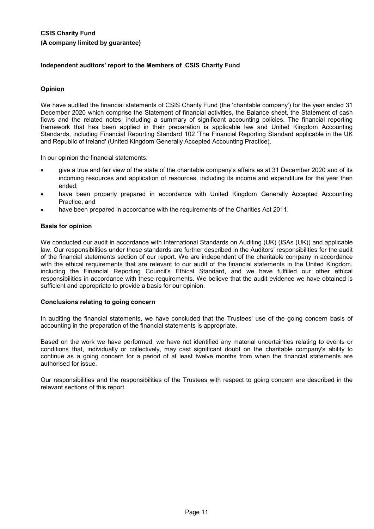# Independent auditors' report to the Members of CSIS Charity Fund

# Opinion

We have audited the financial statements of CSIS Charity Fund (the 'charitable company') for the year ended 31 December 2020 which comprise the Statement of financial activities, the Balance sheet, the Statement of cash flows and the related notes, including a summary of significant accounting policies. The financial reporting framework that has been applied in their preparation is applicable law and United Kingdom Accounting Standards, including Financial Reporting Standard 102 'The Financial Reporting Standard applicable in the UK and Republic of Ireland' (United Kingdom Generally Accepted Accounting Practice).

In our opinion the financial statements:

- give a true and fair view of the state of the charitable company's affairs as at 31 December 2020 and of its incoming resources and application of resources, including its income and expenditure for the year then ended;
- have been properly prepared in accordance with United Kingdom Generally Accepted Accounting Practice; and
- have been prepared in accordance with the requirements of the Charities Act 2011.

### Basis for opinion

We conducted our audit in accordance with International Standards on Auditing (UK) (ISAs (UK)) and applicable law. Our responsibilities under those standards are further described in the Auditors' responsibilities for the audit of the financial statements section of our report. We are independent of the charitable company in accordance with the ethical requirements that are relevant to our audit of the financial statements in the United Kingdom, including the Financial Reporting Council's Ethical Standard, and we have fulfilled our other ethical responsibilities in accordance with these requirements. We believe that the audit evidence we have obtained is sufficient and appropriate to provide a basis for our opinion.

#### Conclusions relating to going concern

In auditing the financial statements, we have concluded that the Trustees' use of the going concern basis of accounting in the preparation of the financial statements is appropriate.

Based on the work we have performed, we have not identified any material uncertainties relating to events or conditions that, individually or collectively, may cast significant doubt on the charitable company's ability to continue as a going concern for a period of at least twelve months from when the financial statements are authorised for issue.

Our responsibilities and the responsibilities of the Trustees with respect to going concern are described in the relevant sections of this report.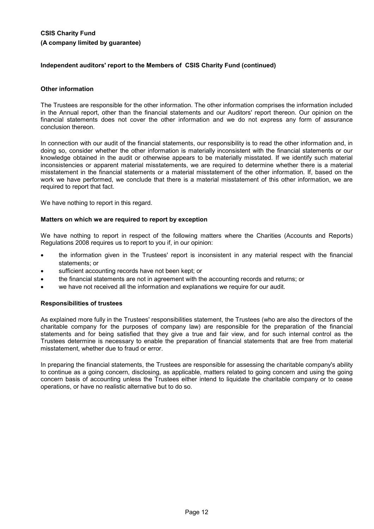# Independent auditors' report to the Members of CSIS Charity Fund (continued)

## Other information

The Trustees are responsible for the other information. The other information comprises the information included in the Annual report, other than the financial statements and our Auditors' report thereon. Our opinion on the financial statements does not cover the other information and we do not express any form of assurance conclusion thereon.

In connection with our audit of the financial statements, our responsibility is to read the other information and, in doing so, consider whether the other information is materially inconsistent with the financial statements or our knowledge obtained in the audit or otherwise appears to be materially misstated. If we identify such material inconsistencies or apparent material misstatements, we are required to determine whether there is a material misstatement in the financial statements or a material misstatement of the other information. If, based on the work we have performed, we conclude that there is a material misstatement of this other information, we are required to report that fact.

We have nothing to report in this regard.

### Matters on which we are required to report by exception

We have nothing to report in respect of the following matters where the Charities (Accounts and Reports) Regulations 2008 requires us to report to you if, in our opinion:

- the information given in the Trustees' report is inconsistent in any material respect with the financial statements; or
- sufficient accounting records have not been kept; or
- the financial statements are not in agreement with the accounting records and returns; or
- we have not received all the information and explanations we require for our audit.

#### Responsibilities of trustees

As explained more fully in the Trustees' responsibilities statement, the Trustees (who are also the directors of the charitable company for the purposes of company law) are responsible for the preparation of the financial statements and for being satisfied that they give a true and fair view, and for such internal control as the Trustees determine is necessary to enable the preparation of financial statements that are free from material misstatement, whether due to fraud or error.

In preparing the financial statements, the Trustees are responsible for assessing the charitable company's ability to continue as a going concern, disclosing, as applicable, matters related to going concern and using the going concern basis of accounting unless the Trustees either intend to liquidate the charitable company or to cease operations, or have no realistic alternative but to do so.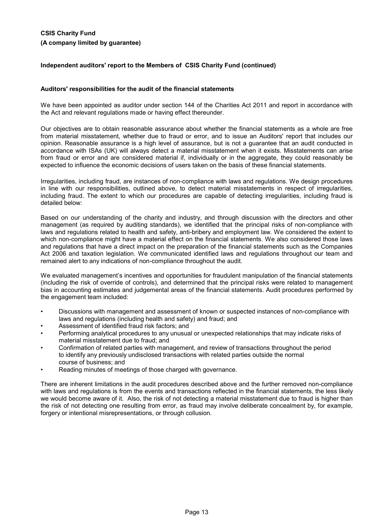# Independent auditors' report to the Members of CSIS Charity Fund (continued)

### Auditors' responsibilities for the audit of the financial statements

We have been appointed as auditor under section 144 of the Charities Act 2011 and report in accordance with the Act and relevant regulations made or having effect thereunder.

Our objectives are to obtain reasonable assurance about whether the financial statements as a whole are free from material misstatement, whether due to fraud or error, and to issue an Auditors' report that includes our opinion. Reasonable assurance is a high level of assurance, but is not a guarantee that an audit conducted in accordance with ISAs (UK) will always detect a material misstatement when it exists. Misstatements can arise from fraud or error and are considered material if, individually or in the aggregate, they could reasonably be expected to influence the economic decisions of users taken on the basis of these financial statements.

Irregularities, including fraud, are instances of non-compliance with laws and regulations. We design procedures in line with our responsibilities, outlined above, to detect material misstatements in respect of irregularities, including fraud. The extent to which our procedures are capable of detecting irregularities, including fraud is detailed below:

Based on our understanding of the charity and industry, and through discussion with the directors and other management (as required by auditing standards), we identified that the principal risks of non-compliance with laws and regulations related to health and safety, anti-bribery and employment law. We considered the extent to which non-compliance might have a material effect on the financial statements. We also considered those laws and regulations that have a direct impact on the preparation of the financial statements such as the Companies Act 2006 and taxation legislation. We communicated identified laws and regulations throughout our team and remained alert to any indications of non-compliance throughout the audit.

We evaluated management's incentives and opportunities for fraudulent manipulation of the financial statements (including the risk of override of controls), and determined that the principal risks were related to management bias in accounting estimates and judgemental areas of the financial statements. Audit procedures performed by the engagement team included:

- Discussions with management and assessment of known or suspected instances of non-compliance with laws and regulations (including health and safety) and fraud; and
- Assessment of identified fraud risk factors; and
- Performing analytical procedures to any unusual or unexpected relationships that may indicate risks of material misstatement due to fraud; and
- Confirmation of related parties with management, and review of transactions throughout the period to identify any previously undisclosed transactions with related parties outside the normal course of business; and
- Reading minutes of meetings of those charged with governance.

There are inherent limitations in the audit procedures described above and the further removed non-compliance with laws and regulations is from the events and transactions reflected in the financial statements, the less likely we would become aware of it. Also, the risk of not detecting a material misstatement due to fraud is higher than the risk of not detecting one resulting from error, as fraud may involve deliberate concealment by, for example, forgery or intentional misrepresentations, or through collusion.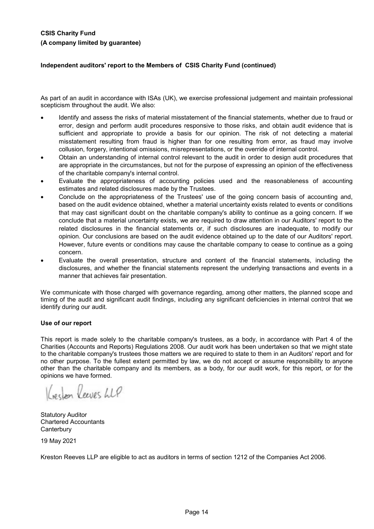# Independent auditors' report to the Members of CSIS Charity Fund (continued)

As part of an audit in accordance with ISAs (UK), we exercise professional judgement and maintain professional scepticism throughout the audit. We also:

- Identify and assess the risks of material misstatement of the financial statements, whether due to fraud or error, design and perform audit procedures responsive to those risks, and obtain audit evidence that is sufficient and appropriate to provide a basis for our opinion. The risk of not detecting a material misstatement resulting from fraud is higher than for one resulting from error, as fraud may involve collusion, forgery, intentional omissions, misrepresentations, or the override of internal control.
- Obtain an understanding of internal control relevant to the audit in order to design audit procedures that are appropriate in the circumstances, but not for the purpose of expressing an opinion of the effectiveness of the charitable company's internal control.
- Evaluate the appropriateness of accounting policies used and the reasonableness of accounting estimates and related disclosures made by the Trustees.
- Conclude on the appropriateness of the Trustees' use of the going concern basis of accounting and, based on the audit evidence obtained, whether a material uncertainty exists related to events or conditions that may cast significant doubt on the charitable company's ability to continue as a going concern. If we conclude that a material uncertainty exists, we are required to draw attention in our Auditors' report to the related disclosures in the financial statements or, if such disclosures are inadequate, to modify our opinion. Our conclusions are based on the audit evidence obtained up to the date of our Auditors' report. However, future events or conditions may cause the charitable company to cease to continue as a going concern.
- Evaluate the overall presentation, structure and content of the financial statements, including the disclosures, and whether the financial statements represent the underlying transactions and events in a manner that achieves fair presentation.

We communicate with those charged with governance regarding, among other matters, the planned scope and timing of the audit and significant audit findings, including any significant deficiencies in internal control that we identify during our audit.

## Use of our report

This report is made solely to the charitable company's trustees, as a body, in accordance with Part 4 of the Charities (Accounts and Reports) Regulations 2008. Our audit work has been undertaken so that we might state to the charitable company's trustees those matters we are required to state to them in an Auditors' report and for no other purpose. To the fullest extent permitted by law, we do not accept or assume responsibility to anyone other than the charitable company and its members, as a body, for our audit work, for this report, or for the opinions we have formed.

Jection Leeves LLP

Statutory Auditor Chartered Accountants **Canterbury** 

19 May 2021

Kreston Reeves LLP are eligible to act as auditors in terms of section 1212 of the Companies Act 2006.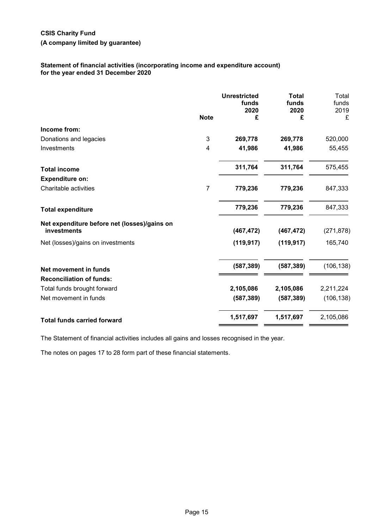## Statement of financial activities (incorporating income and expenditure account) for the year ended 31 December 2020

|                                                             | <b>Note</b>  | <b>Unrestricted</b><br>funds<br>2020<br>£ | <b>Total</b><br>funds<br>2020<br>£ | Total<br>funds<br>2019<br>£ |
|-------------------------------------------------------------|--------------|-------------------------------------------|------------------------------------|-----------------------------|
| Income from:                                                |              |                                           |                                    |                             |
| Donations and legacies                                      | $\mathbf{3}$ | 269,778                                   | 269,778                            | 520,000                     |
| Investments                                                 | 4            | 41,986                                    | 41,986                             | 55,455                      |
| <b>Total income</b>                                         |              | 311,764                                   | 311,764                            | 575,455                     |
| <b>Expenditure on:</b>                                      |              |                                           |                                    |                             |
| Charitable activities                                       | 7            | 779,236                                   | 779,236                            | 847,333                     |
| <b>Total expenditure</b>                                    |              | 779,236                                   | 779,236                            | 847,333                     |
| Net expenditure before net (losses)/gains on<br>investments |              | (467, 472)                                | (467, 472)                         | (271, 878)                  |
| Net (losses)/gains on investments                           |              | (119, 917)                                | (119, 917)                         | 165,740                     |
| Net movement in funds                                       |              | (587, 389)                                | (587, 389)                         | (106, 138)                  |
| <b>Reconciliation of funds:</b>                             |              |                                           |                                    |                             |
| Total funds brought forward                                 |              | 2,105,086                                 | 2,105,086                          | 2,211,224                   |
| Net movement in funds                                       |              | (587, 389)                                | (587, 389)                         | (106, 138)                  |
| <b>Total funds carried forward</b>                          |              | 1,517,697                                 | 1,517,697                          | 2,105,086                   |

The Statement of financial activities includes all gains and losses recognised in the year.

The notes on pages 17 to 28 form part of these financial statements.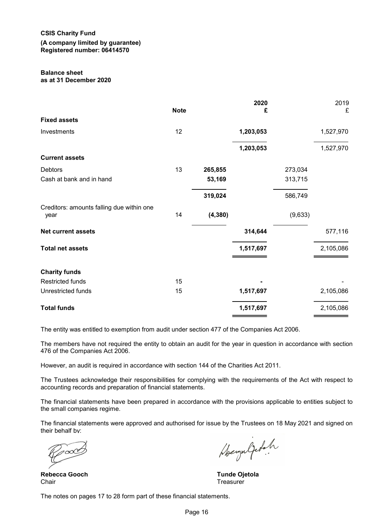# CSIS Charity Fund (A company limited by guarantee) Registered number: 06414570

#### Balance sheet as at 31 December 2020

|                                                   | <b>Note</b> |          | 2020<br>£ |         | 2019<br>£ |
|---------------------------------------------------|-------------|----------|-----------|---------|-----------|
| <b>Fixed assets</b>                               |             |          |           |         |           |
| Investments                                       | 12          |          | 1,203,053 |         | 1,527,970 |
|                                                   |             |          | 1,203,053 |         | 1,527,970 |
| <b>Current assets</b>                             |             |          |           |         |           |
| Debtors                                           | 13          | 265,855  |           | 273,034 |           |
| Cash at bank and in hand                          |             | 53,169   |           | 313,715 |           |
|                                                   |             | 319,024  |           | 586,749 |           |
| Creditors: amounts falling due within one<br>year | 14          | (4, 380) |           | (9,633) |           |
| <b>Net current assets</b>                         |             |          | 314,644   |         | 577,116   |
| <b>Total net assets</b>                           |             |          | 1,517,697 |         | 2,105,086 |
| <b>Charity funds</b>                              |             |          |           |         |           |
| <b>Restricted funds</b>                           | 15          |          |           |         |           |
| Unrestricted funds                                | 15          |          | 1,517,697 |         | 2,105,086 |
| <b>Total funds</b>                                |             |          | 1,517,697 |         | 2,105,086 |

The entity was entitled to exemption from audit under section 477 of the Companies Act 2006.

The members have not required the entity to obtain an audit for the year in question in accordance with section 476 of the Companies Act 2006.

However, an audit is required in accordance with section 144 of the Charities Act 2011.

The Trustees acknowledge their responsibilities for complying with the requirements of the Act with respect to accounting records and preparation of financial statements.

The financial statements have been prepared in accordance with the provisions applicable to entities subject to the small companies regime.

The financial statements were approved and authorised for issue by the Trustees on 18 May 2021 and signed on their behalf by:

Rebecca Gooch **Chair** 

Spenjalgebok

Tunde Ojetola **Treasurer** 

The notes on pages 17 to 28 form part of these financial statements.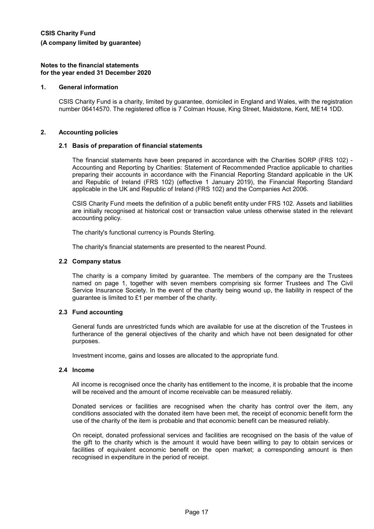## 1. General information

CSIS Charity Fund is a charity, limited by guarantee, domiciled in England and Wales, with the registration number 06414570. The registered office is 7 Colman House, King Street, Maidstone, Kent, ME14 1DD.

### 2. Accounting policies

### 2.1 Basis of preparation of financial statements

The financial statements have been prepared in accordance with the Charities SORP (FRS 102) - Accounting and Reporting by Charities: Statement of Recommended Practice applicable to charities preparing their accounts in accordance with the Financial Reporting Standard applicable in the UK and Republic of Ireland (FRS 102) (effective 1 January 2019), the Financial Reporting Standard applicable in the UK and Republic of Ireland (FRS 102) and the Companies Act 2006.

CSIS Charity Fund meets the definition of a public benefit entity under FRS 102. Assets and liabilities are initially recognised at historical cost or transaction value unless otherwise stated in the relevant accounting policy.

The charity's functional currency is Pounds Sterling.

The charity's financial statements are presented to the nearest Pound.

## 2.2 Company status

The charity is a company limited by guarantee. The members of the company are the Trustees named on page 1, together with seven members comprising six former Trustees and The Civil Service Insurance Society. In the event of the charity being wound up, the liability in respect of the guarantee is limited to £1 per member of the charity.

## 2.3 Fund accounting

General funds are unrestricted funds which are available for use at the discretion of the Trustees in furtherance of the general objectives of the charity and which have not been designated for other purposes.

Investment income, gains and losses are allocated to the appropriate fund.

#### 2.4 Income

All income is recognised once the charity has entitlement to the income, it is probable that the income will be received and the amount of income receivable can be measured reliably.

Donated services or facilities are recognised when the charity has control over the item, any conditions associated with the donated item have been met, the receipt of economic benefit form the use of the charity of the item is probable and that economic benefit can be measured reliably.

On receipt, donated professional services and facilities are recognised on the basis of the value of the gift to the charity which is the amount it would have been willing to pay to obtain services or facilities of equivalent economic benefit on the open market; a corresponding amount is then recognised in expenditure in the period of receipt.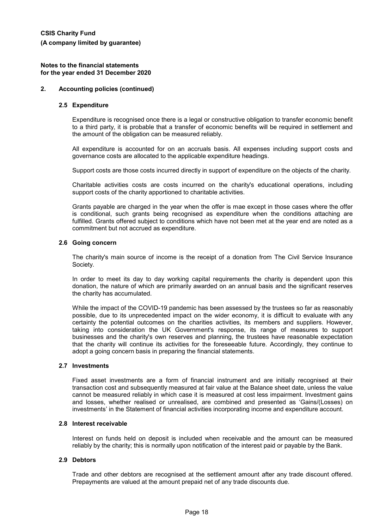#### 2. Accounting policies (continued)

#### 2.5 Expenditure

Expenditure is recognised once there is a legal or constructive obligation to transfer economic benefit to a third party, it is probable that a transfer of economic benefits will be required in settlement and the amount of the obligation can be measured reliably.

All expenditure is accounted for on an accruals basis. All expenses including support costs and governance costs are allocated to the applicable expenditure headings.

Support costs are those costs incurred directly in support of expenditure on the objects of the charity.

Charitable activities costs are costs incurred on the charity's educational operations, including support costs of the charity apportioned to charitable activities.

Grants payable are charged in the year when the offer is mae except in those cases where the offer is conditional, such grants being recognised as expenditure when the conditions attaching are fulfilled. Grants offered subject to conditions which have not been met at the year end are noted as a commitment but not accrued as expenditure.

### 2.6 Going concern

The charity's main source of income is the receipt of a donation from The Civil Service Insurance Society.

In order to meet its day to day working capital requirements the charity is dependent upon this donation, the nature of which are primarily awarded on an annual basis and the significant reserves the charity has accumulated.

While the impact of the COVID-19 pandemic has been assessed by the trustees so far as reasonably possible, due to its unprecedented impact on the wider economy, it is difficult to evaluate with any certainty the potential outcomes on the charities activities, its members and suppliers. However, taking into consideration the UK Government's response, its range of measures to support businesses and the charity's own reserves and planning, the trustees have reasonable expectation that the charity will continue its activities for the foreseeable future. Accordingly, they continue to adopt a going concern basis in preparing the financial statements.

#### 2.7 Investments

Fixed asset investments are a form of financial instrument and are initially recognised at their transaction cost and subsequently measured at fair value at the Balance sheet date, unless the value cannot be measured reliably in which case it is measured at cost less impairment. Investment gains and losses, whether realised or unrealised, are combined and presented as 'Gains/(Losses) on investments' in the Statement of financial activities incorporating income and expenditure account.

## 2.8 Interest receivable

Interest on funds held on deposit is included when receivable and the amount can be measured reliably by the charity; this is normally upon notification of the interest paid or payable by the Bank.

#### 2.9 Debtors

Trade and other debtors are recognised at the settlement amount after any trade discount offered. Prepayments are valued at the amount prepaid net of any trade discounts due.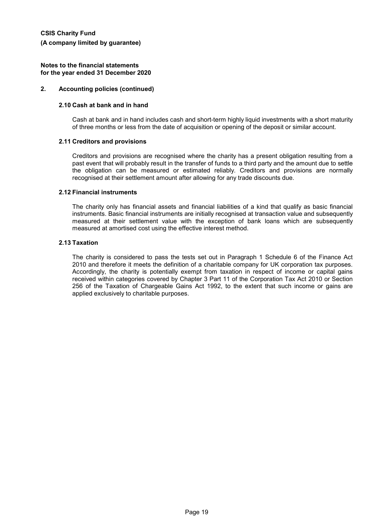# 2. Accounting policies (continued)

#### 2.10 Cash at bank and in hand

Cash at bank and in hand includes cash and short-term highly liquid investments with a short maturity of three months or less from the date of acquisition or opening of the deposit or similar account.

#### 2.11 Creditors and provisions

Creditors and provisions are recognised where the charity has a present obligation resulting from a past event that will probably result in the transfer of funds to a third party and the amount due to settle the obligation can be measured or estimated reliably. Creditors and provisions are normally recognised at their settlement amount after allowing for any trade discounts due.

#### 2.12 Financial instruments

The charity only has financial assets and financial liabilities of a kind that qualify as basic financial instruments. Basic financial instruments are initially recognised at transaction value and subsequently measured at their settlement value with the exception of bank loans which are subsequently measured at amortised cost using the effective interest method.

# 2.13 Taxation

The charity is considered to pass the tests set out in Paragraph 1 Schedule 6 of the Finance Act 2010 and therefore it meets the definition of a charitable company for UK corporation tax purposes. Accordingly, the charity is potentially exempt from taxation in respect of income or capital gains received within categories covered by Chapter 3 Part 11 of the Corporation Tax Act 2010 or Section 256 of the Taxation of Chargeable Gains Act 1992, to the extent that such income or gains are applied exclusively to charitable purposes.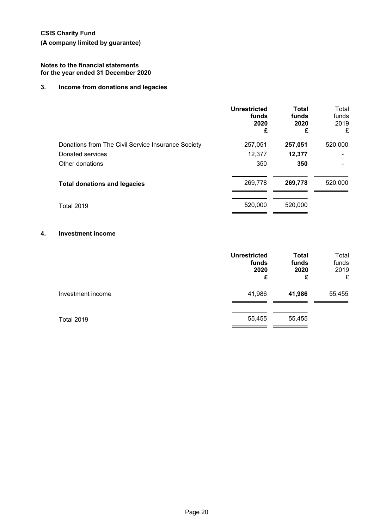# 3. Income from donations and legacies

|                                                    | <b>Unrestricted</b><br>funds<br>2020<br>£ | Total<br>funds<br>2020<br>£ | Total<br>funds<br>2019<br>£ |
|----------------------------------------------------|-------------------------------------------|-----------------------------|-----------------------------|
| Donations from The Civil Service Insurance Society | 257,051                                   | 257,051                     | 520,000                     |
| Donated services                                   | 12,377                                    | 12,377                      |                             |
| Other donations                                    | 350                                       | 350                         |                             |
| <b>Total donations and legacies</b>                | 269,778                                   | 269,778                     | 520,000                     |
| <b>Total 2019</b>                                  | 520,000                                   | 520,000                     |                             |

# 4. Investment income

|                   | <b>Unrestricted</b><br>funds<br>2020<br>£ | <b>Total</b><br>funds<br>2020<br>£ | Total<br>funds<br>2019<br>£ |
|-------------------|-------------------------------------------|------------------------------------|-----------------------------|
| Investment income | 41,986                                    | 41,986                             | 55,455                      |
| <b>Total 2019</b> | 55,455                                    | 55,455                             |                             |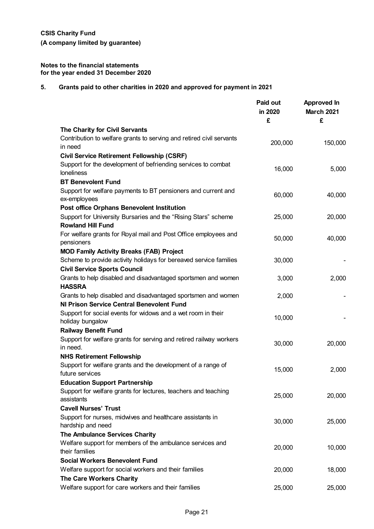# 5. Grants paid to other charities in 2020 and approved for payment in 2021

|                                                                                                                   | Paid out<br>in 2020<br>£ | Approved In<br><b>March 2021</b><br>£ |
|-------------------------------------------------------------------------------------------------------------------|--------------------------|---------------------------------------|
|                                                                                                                   |                          |                                       |
| The Charity for Civil Servants<br>Contribution to welfare grants to serving and retired civil servants<br>in need | 200,000                  | 150,000                               |
| <b>Civil Service Retirement Fellowship (CSRF)</b>                                                                 |                          |                                       |
| Support for the development of befriending services to combat                                                     | 16,000                   | 5,000                                 |
| loneliness                                                                                                        |                          |                                       |
| <b>BT Benevolent Fund</b>                                                                                         |                          |                                       |
| Support for welfare payments to BT pensioners and current and<br>ex-employees                                     | 60,000                   | 40,000                                |
| Post office Orphans Benevolent Institution                                                                        |                          |                                       |
| Support for University Bursaries and the "Rising Stars" scheme<br><b>Rowland Hill Fund</b>                        | 25,000                   | 20,000                                |
| For welfare grants for Royal mail and Post Office employees and<br>pensioners                                     | 50,000                   | 40,000                                |
| <b>MOD Family Activity Breaks (FAB) Project</b>                                                                   |                          |                                       |
| Scheme to provide activity holidays for bereaved service families                                                 | 30,000                   |                                       |
| <b>Civil Service Sports Council</b>                                                                               |                          |                                       |
| Grants to help disabled and disadvantaged sportsmen and women                                                     | 3,000                    | 2,000                                 |
| <b>HASSRA</b>                                                                                                     |                          |                                       |
| Grants to help disabled and disadvantaged sportsmen and women                                                     | 2,000                    |                                       |
| NI Prison Service Central Benevolent Fund                                                                         |                          |                                       |
| Support for social events for widows and a wet room in their                                                      |                          |                                       |
| holiday bungalow                                                                                                  | 10,000                   |                                       |
| <b>Railway Benefit Fund</b>                                                                                       |                          |                                       |
| Support for welfare grants for serving and retired railway workers<br>in need.                                    | 30,000                   | 20,000                                |
| <b>NHS Retirement Fellowship</b>                                                                                  |                          |                                       |
| Support for welfare grants and the development of a range of<br>future services                                   | 15,000                   | 2,000                                 |
| <b>Education Support Partnership</b>                                                                              |                          |                                       |
| Support for welfare grants for lectures, teachers and teaching<br>assistants                                      | 25,000                   | 20,000                                |
| <b>Cavell Nurses' Trust</b>                                                                                       |                          |                                       |
| Support for nurses, midwives and healthcare assistants in                                                         |                          |                                       |
| hardship and need                                                                                                 | 30,000                   | 25,000                                |
| The Ambulance Services Charity                                                                                    |                          |                                       |
| Welfare support for members of the ambulance services and                                                         | 20,000                   | 10,000                                |
| their families                                                                                                    |                          |                                       |
| <b>Social Workers Benevolent Fund</b>                                                                             |                          |                                       |
| Welfare support for social workers and their families<br><b>The Care Workers Charity</b>                          | 20,000                   | 18,000                                |
| Welfare support for care workers and their families                                                               | 25,000                   | 25,000                                |
|                                                                                                                   |                          |                                       |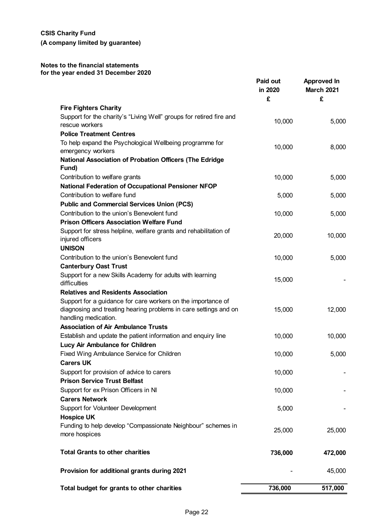|                                                                                                           | Paid out<br>in 2020<br>£ | <b>Approved In</b><br><b>March 2021</b><br>£ |
|-----------------------------------------------------------------------------------------------------------|--------------------------|----------------------------------------------|
| <b>Fire Fighters Charity</b>                                                                              |                          |                                              |
| Support for the charity's "Living Well" groups for retired fire and<br>rescue workers                     | 10,000                   | 5,000                                        |
| <b>Police Treatment Centres</b>                                                                           |                          |                                              |
| To help expand the Psychological Wellbeing programme for<br>emergency workers                             | 10,000                   | 8,000                                        |
| National Association of Probation Officers (The Edridge<br>Fund)                                          |                          |                                              |
| Contribution to welfare grants                                                                            | 10,000                   | 5,000                                        |
| <b>National Federation of Occupational Pensioner NFOP</b>                                                 |                          |                                              |
| Contribution to welfare fund                                                                              | 5,000                    | 5,000                                        |
| <b>Public and Commercial Services Union (PCS)</b>                                                         |                          |                                              |
| Contribution to the union's Benevolent fund                                                               | 10,000                   | 5,000                                        |
| <b>Prison Officers Association Welfare Fund</b>                                                           |                          |                                              |
| Support for stress helpline, welfare grants and rehabilitation of<br>injured officers<br><b>UNISON</b>    | 20,000                   | 10,000                                       |
| Contribution to the union's Benevolent fund                                                               |                          |                                              |
|                                                                                                           | 10,000                   | 5,000                                        |
| <b>Canterbury Oast Trust</b><br>Support for a new Skills Academy for adults with learning<br>difficulties | 15,000                   |                                              |
| <b>Relatives and Residents Association</b>                                                                |                          |                                              |
| Support for a guidance for care workers on the importance of                                              |                          |                                              |
| diagnosing and treating hearing problems in care settings and on<br>handling medication.                  | 15,000                   | 12,000                                       |
| <b>Association of Air Ambulance Trusts</b>                                                                |                          |                                              |
| Establish and update the patient information and enquiry line                                             | 10,000                   | 10,000                                       |
| Lucy Air Ambulance for Children                                                                           |                          |                                              |
| Fixed Wing Ambulance Service for Children                                                                 | 10,000                   | 5,000                                        |
| <b>Carers UK</b>                                                                                          |                          |                                              |
| Support for provision of advice to carers                                                                 | 10,000                   |                                              |
| <b>Prison Service Trust Belfast</b>                                                                       |                          |                                              |
| Support for ex Prison Officers in NI                                                                      | 10,000                   |                                              |
| <b>Carers Network</b>                                                                                     |                          |                                              |
| Support for Volunteer Development<br><b>Hospice UK</b>                                                    | 5,000                    |                                              |
| Funding to help develop "Compassionate Neighbour" schemes in<br>more hospices                             | 25,000                   | 25,000                                       |
| <b>Total Grants to other charities</b>                                                                    | 736,000                  | 472,000                                      |
| Provision for additional grants during 2021                                                               |                          | 45,000                                       |
| Total budget for grants to other charities                                                                | 736,000                  | 517,000                                      |
| Page 22                                                                                                   |                          |                                              |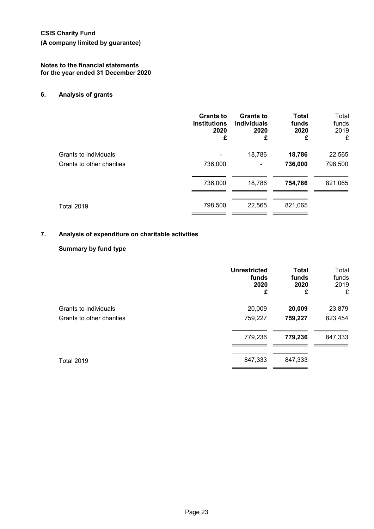# 6. Analysis of grants

|                           | <b>Grants to</b>    | <b>Grants to</b>   | Total   | Total   |
|---------------------------|---------------------|--------------------|---------|---------|
|                           | <b>Institutions</b> | <b>Individuals</b> | funds   | funds   |
|                           | 2020                | 2020               | 2020    | 2019    |
|                           | £                   | £                  | £       | £       |
| Grants to individuals     | 736,000             | 18,786             | 18,786  | 22,565  |
| Grants to other charities |                     |                    | 736,000 | 798,500 |
|                           | 736,000             | 18,786             | 754,786 | 821,065 |
| <b>Total 2019</b>         | 798,500             | 22,565             | 821,065 |         |

# 7. Analysis of expenditure on charitable activities

# Summary by fund type

| <b>Unrestricted</b><br>funds<br>2020<br>£ | <b>Total</b><br>funds<br>2020<br>£ | Total<br>funds<br>2019<br>£ |
|-------------------------------------------|------------------------------------|-----------------------------|
| 20,009                                    | 20,009                             | 23,879                      |
| 759,227                                   | 759,227                            | 823,454                     |
| 779,236                                   | 779,236                            | 847,333                     |
| 847,333                                   | 847,333                            |                             |
|                                           |                                    |                             |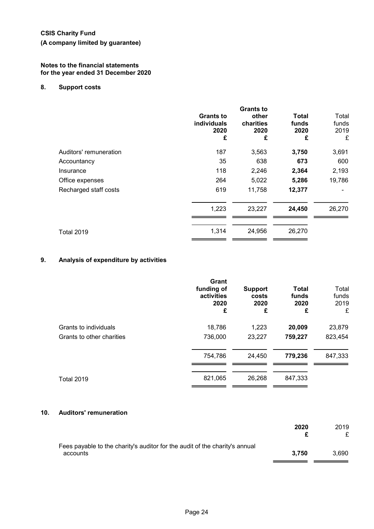# 8. Support costs

|                        | <b>Grants to</b><br>individuals<br>2020<br>£ | <b>Grants to</b><br>other<br>charities<br>2020<br>£ | <b>Total</b><br>funds<br>2020<br>£ | Total<br>funds<br>2019<br>£ |
|------------------------|----------------------------------------------|-----------------------------------------------------|------------------------------------|-----------------------------|
| Auditors' remuneration | 187                                          | 3,563                                               | 3,750                              | 3,691                       |
| Accountancy            | 35                                           | 638                                                 | 673                                | 600                         |
| Insurance              | 118                                          | 2,246                                               | 2,364                              | 2,193                       |
| Office expenses        | 264                                          | 5,022                                               | 5,286                              | 19,786                      |
| Recharged staff costs  | 619                                          | 11,758                                              | 12,377                             |                             |
|                        | 1,223                                        | 23,227                                              | 24,450                             | 26,270                      |
| <b>Total 2019</b>      | 1,314                                        | 24,956                                              | 26,270                             |                             |

# 9. Analysis of expenditure by activities

|                           | Grant<br>funding of<br>activities<br>2020<br>£ | <b>Support</b><br>costs<br>2020<br>£ | Total<br>funds<br>2020<br>£ | Total<br>funds<br>2019<br>£ |
|---------------------------|------------------------------------------------|--------------------------------------|-----------------------------|-----------------------------|
| Grants to individuals     | 18,786                                         | 1,223                                | 20,009                      | 23,879                      |
| Grants to other charities | 736,000                                        | 23,227                               | 759,227                     | 823,454                     |
|                           | 754,786                                        | 24,450                               | 779,236                     | 847,333                     |
| <b>Total 2019</b>         | 821,065                                        | 26,268                               | 847,333                     |                             |

# 10. Auditors' remuneration

|                                                                                         | 2020  | 2019  |
|-----------------------------------------------------------------------------------------|-------|-------|
| Fees payable to the charity's auditor for the audit of the charity's annual<br>accounts | 3.750 | 3.690 |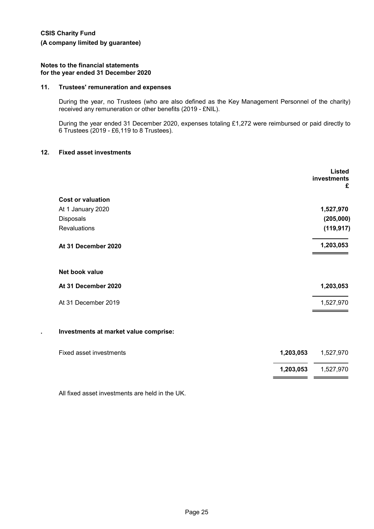### 11. Trustees' remuneration and expenses

During the year, no Trustees (who are also defined as the Key Management Personnel of the charity) received any remuneration or other benefits (2019 - £NIL).

During the year ended 31 December 2020, expenses totaling £1,272 were reimbursed or paid directly to 6 Trustees (2019 - £6,119 to 8 Trustees).

### 12. Fixed asset investments

|                                       |           | <b>Listed</b><br>investments<br>£ |
|---------------------------------------|-----------|-----------------------------------|
| <b>Cost or valuation</b>              |           |                                   |
| At 1 January 2020                     |           | 1,527,970                         |
| Disposals                             |           | (205,000)                         |
| <b>Revaluations</b>                   |           | (119, 917)                        |
| At 31 December 2020                   |           | 1,203,053                         |
| Net book value                        |           |                                   |
| At 31 December 2020                   |           | 1,203,053                         |
| At 31 December 2019                   |           | 1,527,970                         |
| Investments at market value comprise: |           |                                   |
| Fixed asset investments               | 1,203,053 | 1,527,970                         |
|                                       | 1,203,053 | 1,527,970                         |
|                                       |           |                                   |

All fixed asset investments are held in the UK.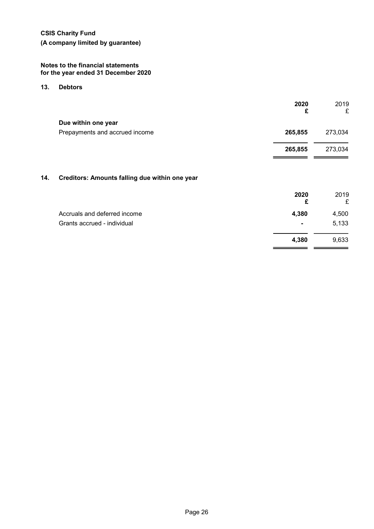# 13. Debtors

|                                | 2020<br>£ | 2019<br>£ |
|--------------------------------|-----------|-----------|
| Due within one year            |           |           |
| Prepayments and accrued income | 265,855   | 273,034   |
|                                | 265,855   | 273,034   |
|                                |           |           |

# 14. Creditors: Amounts falling due within one year

|                              | 2020<br>£      | 2019<br>£ |
|------------------------------|----------------|-----------|
| Accruals and deferred income | 4,380          | 4,500     |
| Grants accrued - individual  | $\blacksquare$ | 5,133     |
|                              | 4,380          | 9,633     |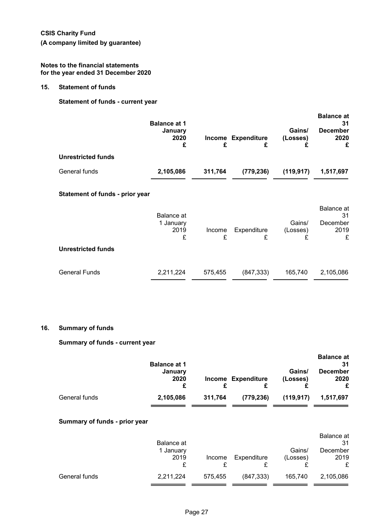(A company limited by guarantee)

## Notes to the financial statements for the year ended 31 December 2020

# 15. Statement of funds

# Statement of funds - current year

|                           | <b>Balance at 1</b>  |         |                           | <b>Balance at</b>  |                              |  |
|---------------------------|----------------------|---------|---------------------------|--------------------|------------------------------|--|
|                           | January<br>2020<br>£ | £       | <b>Income Expenditure</b> | Gains/<br>(Losses) | <b>December</b><br>2020<br>£ |  |
| <b>Unrestricted funds</b> |                      |         |                           |                    |                              |  |
| General funds             | 2,105,086            | 311,764 | (779, 236)                | (119, 917)         | 1,517,697                    |  |

# Statement of funds - prior year

|                           | Balance at        |         |             |                    | Balance at<br>31 |
|---------------------------|-------------------|---------|-------------|--------------------|------------------|
|                           | 1 January<br>2019 | Income  | Expenditure | Gains/<br>(Losses) | December<br>2019 |
|                           | £                 | £       | £           |                    | £                |
| <b>Unrestricted funds</b> |                   |         |             |                    |                  |
| <b>General Funds</b>      | 2,211,224         | 575,455 | (847, 333)  | 165,740            | 2,105,086        |

# 16. Summary of funds

# Summary of funds - current year

|               | <b>Balance at 1</b><br>January<br>2020 |                    |                    |                              | <b>Balance at</b><br>31 |
|---------------|----------------------------------------|--------------------|--------------------|------------------------------|-------------------------|
|               |                                        | Income Expenditure | Gains/<br>(Losses) | <b>December</b><br>2020<br>£ |                         |
| General funds | 2,105,086                              | 311.764            | (779, 236)         | (119, 917)                   | 1,517,697               |

# Summary of funds - prior year

|               | Balance at        |         |             |                    | Balance at<br>31      |
|---------------|-------------------|---------|-------------|--------------------|-----------------------|
|               | 1 January<br>2019 | Income  | Expenditure | Gains/<br>(Losses) | December<br>2019<br>£ |
| General funds | 2,211,224         | 575.455 | (847, 333)  | 165,740            | 2,105,086             |